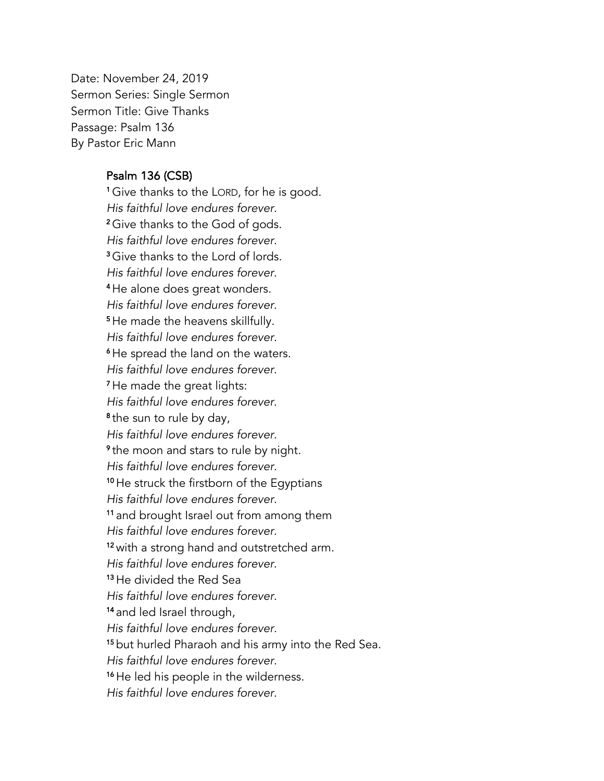Date: November 24, 2019 Sermon Series: Single Sermon Sermon Title: Give Thanks Passage: Psalm 136 By Pastor Eric Mann

## Psalm 136 (CSB)

1 Give thanks to the LORD, for he is good. *His faithful love endures forever*. 2 Give thanks to the God of gods. *His faithful love endures forever*. 3 Give thanks to the Lord of lords. *His faithful love endures forever*. 4 He alone does great wonders. *His faithful love endures forever*. 5 He made the heavens skillfully. *His faithful love endures forever*. 6 He spread the land on the waters. *His faithful love endures forever*. 7 He made the great lights: *His faithful love endures forever*. 8 the sun to rule by day, *His faithful love endures forever*. 9 the moon and stars to rule by night. *His faithful love endures forever*. 10 He struck the firstborn of the Egyptians *His faithful love endures forever*. 11 and brought Israel out from among them *His faithful love endures forever*. <sup>12</sup> with a strong hand and outstretched arm. *His faithful love endures forever*. 13 He divided the Red Sea *His faithful love endures forever*. 14 and led Israel through, *His faithful love endures forever*. 15 but hurled Pharaoh and his army into the Red Sea. *His faithful love endures forever*. <sup>16</sup> He led his people in the wilderness. *His faithful love endures forever*.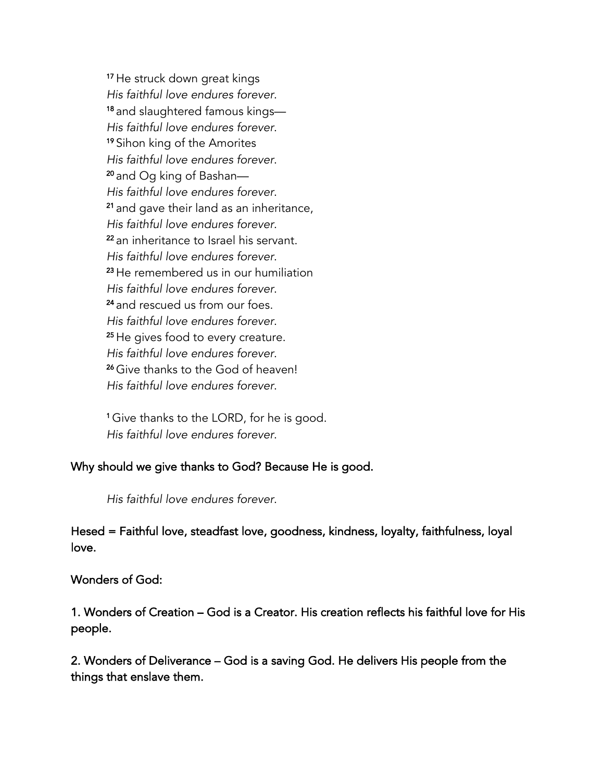17 He struck down great kings *His faithful love endures forever*. <sup>18</sup> and slaughtered famous kings— *His faithful love endures forever*. 19 Sihon king of the Amorites *His faithful love endures forever*. <sup>20</sup> and Og king of Bashan— *His faithful love endures forever*. <sup>21</sup> and gave their land as an inheritance, *His faithful love endures forever*. <sup>22</sup> an inheritance to Israel his servant. *His faithful love endures forever*. <sup>23</sup>He remembered us in our humiliation *His faithful love endures forever*. <sup>24</sup> and rescued us from our foes. *His faithful love endures forever*. <sup>25</sup> He gives food to every creature. *His faithful love endures forever*. <sup>26</sup> Give thanks to the God of heaven! *His faithful love endures forever*.

1 Give thanks to the LORD, for he is good. *His faithful love endures forever*.

## Why should we give thanks to God? Because He is good.

*His faithful love endures forever*.

## Hesed = Faithful love, steadfast love, goodness, kindness, loyalty, faithfulness, loyal love.

## Wonders of God:

1. Wonders of Creation – God is a Creator. His creation reflects his faithful love for His people.

2. Wonders of Deliverance – God is a saving God. He delivers His people from the things that enslave them.